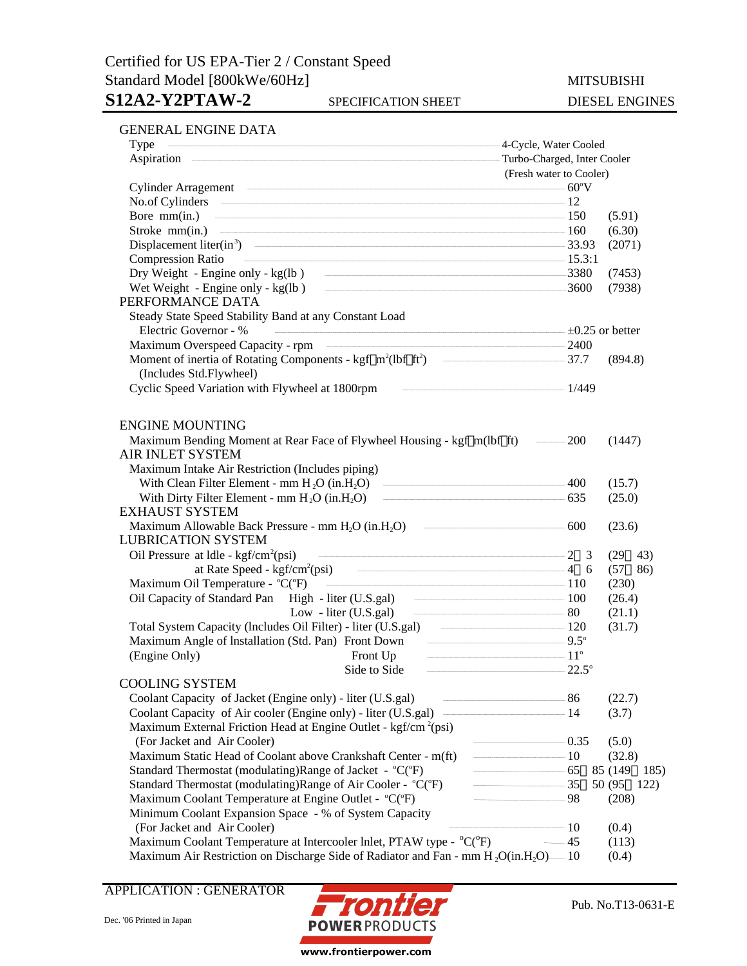# Certified for US EPA-Tier 2 / Constant Speed Standard Model [800kWe/60Hz] MITSUBISHI

## S12A2-Y2PTAW-2 SPECIFICATION SHEET DIESEL ENGINES

| Type                                                                                                        | -4-Cycle, Water Cooled     |                  |  |  |
|-------------------------------------------------------------------------------------------------------------|----------------------------|------------------|--|--|
|                                                                                                             |                            |                  |  |  |
| (Fresh water to Cooler)                                                                                     |                            |                  |  |  |
| Cylinder Arragement 60°V                                                                                    |                            |                  |  |  |
| No.of Cylinders 2012                                                                                        |                            |                  |  |  |
| Bore mm(in.) $\qquad \qquad \qquad$ 150                                                                     |                            | (5.91)           |  |  |
| Stroke mm(in.) $\qquad \qquad \qquad$ 160                                                                   |                            | (6.30)           |  |  |
| Displacement liter(in <sup>3</sup> ) $\qquad \qquad \qquad$ 33.93                                           |                            | (2071)           |  |  |
| $\frac{15.31}{1}$<br><b>Compression Ratio</b>                                                               |                            |                  |  |  |
| Dry Weight - Engine only - kg(lb) - 3380                                                                    |                            | (7453)           |  |  |
|                                                                                                             |                            | (7938)           |  |  |
| PERFORMANCE DATA                                                                                            |                            |                  |  |  |
| Steady State Speed Stability Band at any Constant Load                                                      |                            |                  |  |  |
| Electric Governor - %                                                                                       |                            |                  |  |  |
| Maximum Overspeed Capacity - rpm                                                                            |                            |                  |  |  |
| Moment of inertia of Rotating Components - kgf m <sup>2</sup> (lbf ft <sup>2</sup> ) - 37.7                 |                            | (894.8)          |  |  |
| (Includes Std.Flywheel)                                                                                     |                            |                  |  |  |
| $\frac{1}{449}$<br>Cyclic Speed Variation with Flywheel at 1800rpm                                          |                            |                  |  |  |
|                                                                                                             |                            |                  |  |  |
| <b>ENGINE MOUNTING</b>                                                                                      |                            |                  |  |  |
| Maximum Bending Moment at Rear Face of Flywheel Housing - kgf m(lbf ft) — 200                               |                            | (1447)           |  |  |
| <b>AIR INLET SYSTEM</b>                                                                                     |                            |                  |  |  |
| Maximum Intake Air Restriction (Includes piping)                                                            |                            |                  |  |  |
| With Clean Filter Element - mm $H_2O$ (in. $H_2O$ ) $\qquad \qquad \qquad 400$                              |                            | (15.7)           |  |  |
| With Dirty Filter Element - mm $H_2O$ (in $H_2O$ ) $\qquad \qquad \qquad$ 635                               |                            | (25.0)           |  |  |
| <b>EXHAUST SYSTEM</b>                                                                                       |                            |                  |  |  |
| Maximum Allowable Back Pressure - mm $H_2O$ (in $H_2O$ ) $\qquad \qquad \qquad 600$                         |                            | (23.6)           |  |  |
| <b>LUBRICATION SYSTEM</b>                                                                                   |                            |                  |  |  |
| Oil Pressure at $ldle$ - kgf/cm <sup>2</sup> (psi)                                                          |                            | $(29 \t 43)$     |  |  |
|                                                                                                             |                            | (57 86)          |  |  |
| Maximum Oil Temperature - ${}^{\circ}C({}^{\circ}F)$ $\qquad \qquad \qquad$ 110                             |                            | (230)            |  |  |
| Oil Capacity of Standard Pan High - liter (U.S.gal) 100                                                     |                            | (26.4)           |  |  |
| Low - liter (U.S.gal) $\qquad \qquad \qquad \qquad 80$                                                      |                            | (21.1)           |  |  |
|                                                                                                             |                            | (31.7)           |  |  |
| Maximum Angle of Installation (Std. Pan) Front Down ——————————————————9.5°                                  |                            |                  |  |  |
| Front Up $\overline{11^{\circ}}$                                                                            |                            |                  |  |  |
| (Engine Only)<br>Side to Side $22.5^\circ$                                                                  |                            |                  |  |  |
| <b>COOLING SYSTEM</b>                                                                                       |                            |                  |  |  |
| Coolant Capacity of Jacket (Engine only) - liter (U.S.gal)<br>$\sim$ 86                                     |                            | (22.7)           |  |  |
| Coolant Capacity of Air cooler (Engine only) - liter (U.S.gal) —                                            | $\overline{\phantom{a}14}$ | (3.7)            |  |  |
| Maximum External Friction Head at Engine Outlet - kgf/cm <sup>2</sup> (psi)                                 |                            |                  |  |  |
| (For Jacket and Air Cooler)                                                                                 | $-$ 0.35                   | (5.0)            |  |  |
| Maximum Static Head of Coolant above Crankshaft Center - m(ft)                                              | $\frac{10}{2}$             | (32.8)           |  |  |
| Standard Thermostat (modulating)Range of Jacket - °C(°F)                                                    | $-$ 65                     | 85 (149)<br>185) |  |  |
| Standard Thermostat (modulating) Range of Air Cooler - °C(°F)                                               | $\frac{35}{2}$             | 50 (95)<br>122)  |  |  |
| Maximum Coolant Temperature at Engine Outlet - °C(°F)                                                       | $-$ 98                     | (208)            |  |  |
| Minimum Coolant Expansion Space - % of System Capacity                                                      |                            |                  |  |  |
| (For Jacket and Air Cooler)                                                                                 | $\sim$ 10                  | (0.4)            |  |  |
| Maximum Coolant Temperature at Intercooler Inlet, PTAW type - °C(°F)                                        | $-45$                      | (113)            |  |  |
|                                                                                                             |                            | (0.4)            |  |  |
| Maximum Air Restriction on Discharge Side of Radiator and Fan - mm H <sub>2</sub> O(in.H <sub>2</sub> O) 10 |                            |                  |  |  |

### APPLICATION : GENERATOR

www.frontierpower.com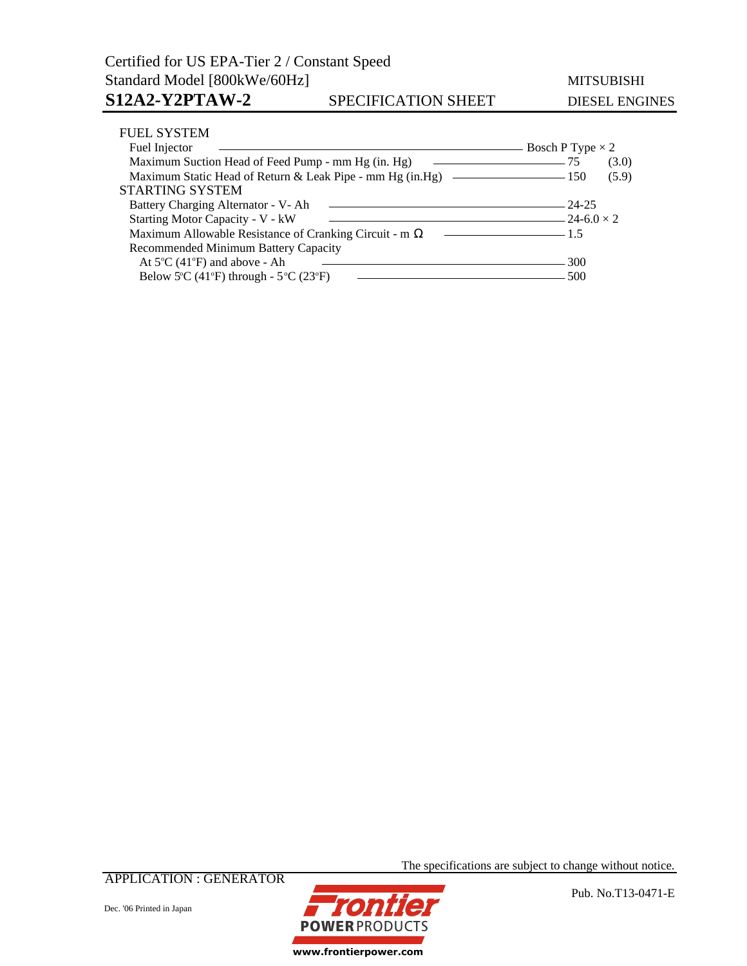| <b>FUEL SYSTEM</b>                                                                                                                 |                         |       |
|------------------------------------------------------------------------------------------------------------------------------------|-------------------------|-------|
| Fuel Injector                                                                                                                      | Bosch P Type $\times$ 2 |       |
| Maximum Suction Head of Feed Pump - mm Hg (in. Hg)<br>the control of the control of the control of the                             | 75                      | (3.0) |
| Maximum Static Head of Return & Leak Pipe - mm Hg (in Hg) — 150                                                                    |                         | (5.9) |
| <b>STARTING SYSTEM</b>                                                                                                             |                         |       |
| Battery Charging Alternator - V- Ah                                                                                                | - 24-25                 |       |
| Starting Motor Capacity - V - kW                                                                                                   | $-24-6.0 \times 2$      |       |
| Maximum Allowable Resistance of Cranking Circuit - m<br>the control of the control of the control of the control of the control of | $-1.5$                  |       |
| Recommended Minimum Battery Capacity                                                                                               |                         |       |
| At $5^{\circ}$ C (41 $^{\circ}$ F) and above - Ah                                                                                  | 300                     |       |
| Below 5°C (41°F) through - $5$ °C (23°F)                                                                                           | 500                     |       |

APPLICATION : GENERATOR

**POWERPRODUCTS** www.frontierpower.com

The specifications are subject to change without notice.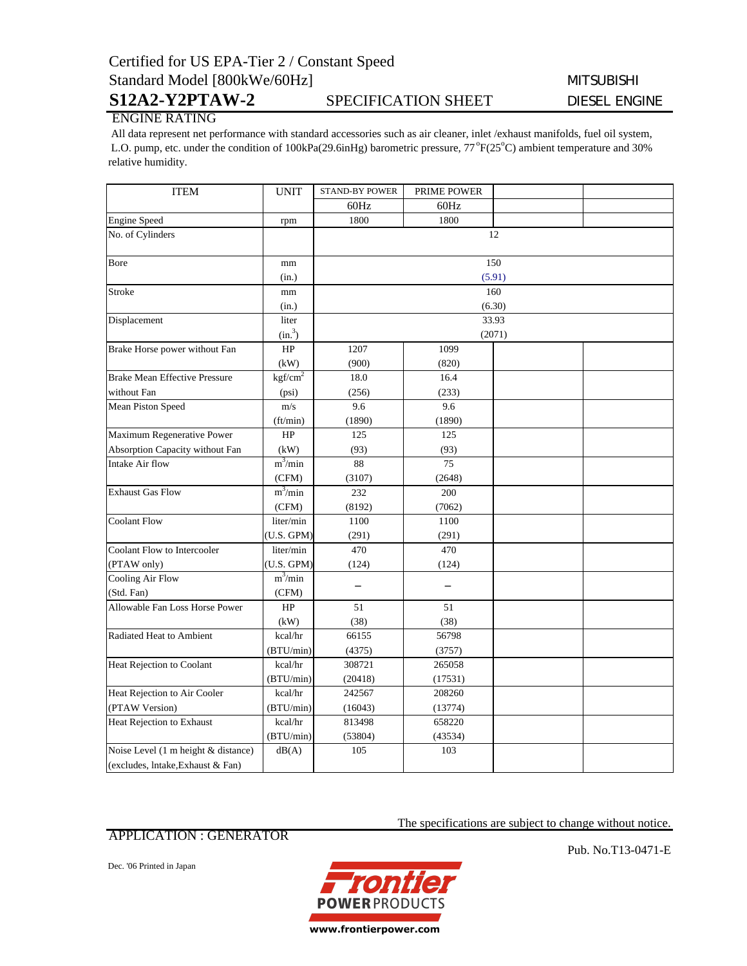## Certified for US EPA-Tier 2 / Constant Speed Standard Model [800kWe/60Hz] MITSUBISHI

## S12A2-Y2PTAW-2 SPECIFICATION SHEET DIESEL ENGINE

## ENGINE RATING

 All data represent net performance with standard accessories such as air cleaner, inlet /exhaust manifolds, fuel oil system, L.O. pump, etc. under the condition of 100kPa(29.6inHg) barometric pressure, 77°F(25°C) ambient temperature and 30% relative humidity.

| <b>ITEM</b>                          | <b>UNIT</b>         | <b>STAND-BY POWER</b> | PRIME POWER |  |  |
|--------------------------------------|---------------------|-----------------------|-------------|--|--|
|                                      |                     | 60Hz                  | 60Hz        |  |  |
| <b>Engine Speed</b>                  | rpm                 | 1800                  | 1800        |  |  |
| No. of Cylinders                     |                     | 12                    |             |  |  |
| Bore                                 | mm                  | 150                   |             |  |  |
|                                      | (in.)               | (5.91)                |             |  |  |
| Stroke                               | mm                  | 160<br>(6.30)         |             |  |  |
|                                      | (in.)               |                       |             |  |  |
| Displacement                         | liter               | 33.93                 |             |  |  |
|                                      | (in. <sup>3</sup> ) | (2071)                |             |  |  |
| Brake Horse power without Fan        | HP                  | 1207                  | 1099        |  |  |
|                                      | (kW)                | (900)                 | (820)       |  |  |
| <b>Brake Mean Effective Pressure</b> | kgf/cm <sup>2</sup> | 18.0                  | 16.4        |  |  |
| without Fan                          | (psi)               | (256)                 | (233)       |  |  |
| Mean Piston Speed                    | m/s                 | 9.6                   | 9.6         |  |  |
|                                      | (ft/min)            | (1890)                | (1890)      |  |  |
| Maximum Regenerative Power           | HP                  | 125                   | 125         |  |  |
| Absorption Capacity without Fan      | (kW)                | (93)                  | (93)        |  |  |
| Intake Air flow                      | $m^3/min$           | 88                    | 75          |  |  |
|                                      | (CFM)               | (3107)                | (2648)      |  |  |
| <b>Exhaust Gas Flow</b>              | $m^3/m$ in          | 232                   | 200         |  |  |
|                                      | (CFM)               | (8192)                | (7062)      |  |  |
| <b>Coolant Flow</b>                  | liter/min           | 1100                  | 1100        |  |  |
|                                      | (U.S. GPM)          | (291)                 | (291)       |  |  |
| Coolant Flow to Intercooler          | liter/min           | 470                   | 470         |  |  |
| (PTAW only)                          | (U.S. GPM)          | (124)                 | (124)       |  |  |
| Cooling Air Flow                     | $m^3/min$           |                       |             |  |  |
| (Std. Fan)                           | (CFM)               |                       |             |  |  |
| Allowable Fan Loss Horse Power       | HP                  | 51                    | 51          |  |  |
|                                      | (kW)                | (38)                  | (38)        |  |  |
| Radiated Heat to Ambient             | kcal/hr             | 66155                 | 56798       |  |  |
|                                      | (BTU/min)           | (4375)                | (3757)      |  |  |
| Heat Rejection to Coolant            | kcal/hr             | 308721                | 265058      |  |  |
|                                      | (BTU/min)           | (20418)               | (17531)     |  |  |
| Heat Rejection to Air Cooler         | kcal/hr             | 242567                | 208260      |  |  |
| (PTAW Version)                       | (BTU/min)           | (16043)               | (13774)     |  |  |
| Heat Rejection to Exhaust            | kcal/hr             | 813498                | 658220      |  |  |
|                                      | (BTU/min)           | (53804)               | (43534)     |  |  |
| Noise Level (1 m height & distance)  | dB(A)               | 105                   | 103         |  |  |
| (excludes, lntake, Exhaust & Fan)    |                     |                       |             |  |  |

### APPLICATION : GENERATOR

Dec. '06 Printed in Japan



Pub. No.T13-0471-E

The specifications are subject to change without notice.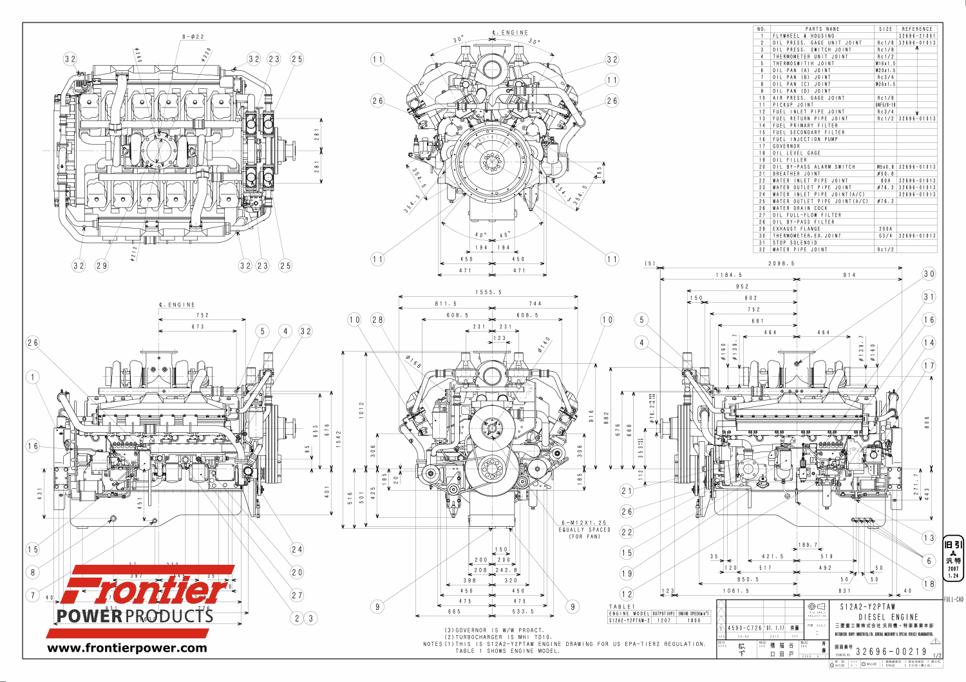

| NO.              | PARTS<br>NANE                                            | SIZE        | REFERENCE       |
|------------------|----------------------------------------------------------|-------------|-----------------|
| 1                | FLYWHEEL & HOUSING                                       |             | $32696 - 21001$ |
| $\overline{2}$   | PRESS.<br>0 <sub>1</sub><br>GAGE<br>UNIT<br><b>JOINT</b> | Rc1/8       | $32696 - 01013$ |
| $\mathfrak{z}$   | PRESS. SWITCH JOINT<br>0 <sup>1</sup>                    | Rc1/8       | ⋀               |
| $\overline{4}$   | THERMOMETER UNIT JOINT                                   | Rc1/2       |                 |
| $5\phantom{.0}$  | THERMOSWITIH JOINT                                       | M16x1.5     |                 |
| $\boldsymbol{6}$ | PAN<br>(A)<br>JOINT<br>0 <sub>1</sub>                    | M20x1.5     |                 |
| $\overline{7}$   | (B)<br>0 <sub>1</sub><br>PAN<br>JOINT                    | Rc3/4       |                 |
| 8                | (C)<br>0 <sub>1</sub><br>PAN<br>JOINT                    | M36x1.5     |                 |
| 9                | (D)<br>0 <sub>1</sub><br>PAN<br>JOINT                    |             |                 |
| 10               | A   R<br>PRESS. GAGE JOINT                               | Rc1/8       |                 |
| 11               | PICKUP<br>JOINT                                          | $UNF5/8-18$ |                 |
| 12               | FUEL<br>INLET PIPE<br>JOINT                              | Rc3/4       | V               |
| 13               | PIPE<br>FUEL<br>RETURN<br>JOINT                          | Rc1/2       | $32696 - 01013$ |
| 14               | FUEL<br>PRIMARY<br>FILTER                                |             |                 |
| 15               | <b>FUEL</b><br>SECONDARY<br><b>FILTER</b>                |             |                 |
| 16               | FUEL INJECTION PUMP                                      |             |                 |
| 17               | GOVERNOR                                                 |             |                 |
| 18               | 0 <sub>1</sub><br>LEVEL GAGE                             |             |                 |
| 19               | <b>FILLER</b><br>0 <sub>1</sub>                          |             |                 |
| 20               | 0 <sub>1</sub><br>BY-PASS ALARM SWITCH                   | M5x0.8      | $32696 - 01013$ |
| 21               | <b>BREATHER</b><br>JOINT                                 | Ø50.8       |                 |
| 22               | WATER<br>PIPE JOINT<br>INLET                             | 8 0 A       | $32696 - 01013$ |
| 23               | WATER<br>PIPE<br>JOINT<br>OUTLET                         | Ø76.2       | $32696 - 01013$ |
| 24               | WATER<br>PIPE<br>J0INT(A/C)<br>INLET                     |             | $32696 - 01013$ |
| 25               | WATER<br><b>OUTLET</b><br>PIPE<br>J0INT(A/C)             | Ø76.2       |                 |
| 26               | WATER DRAIN COCK                                         |             |                 |
| 27               | FULL-FLOW FILTER<br>01L                                  |             |                 |
| $28$             | 01L<br>BY-PASS FILTER                                    |             |                 |
| 29               | EXHAUST FLANGE                                           | 200A        |                 |
| 30               | THERMOMETER, EX. JOINT                                   | G3/4        | $32696 - 01013$ |
| 31               | STOP SOLENOID                                            |             |                 |
| 32               | WATER PIPE JOINT                                         | Rc1/2       |                 |